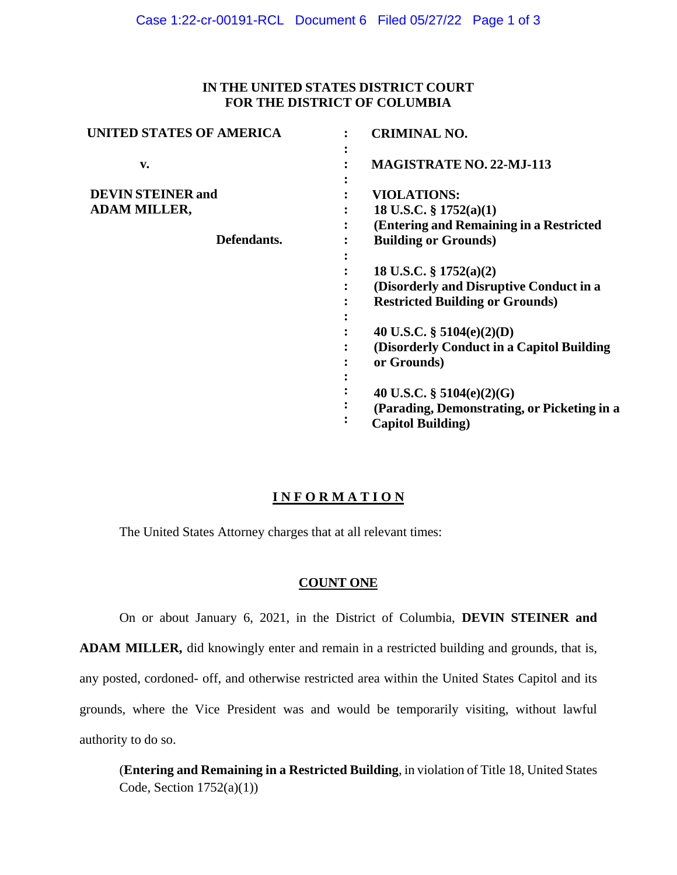### **IN THE UNITED STATES DISTRICT COURT FOR THE DISTRICT OF COLUMBIA**

| <b>UNITED STATES OF AMERICA</b>                                | <b>CRIMINAL NO.</b>                                                                                            |
|----------------------------------------------------------------|----------------------------------------------------------------------------------------------------------------|
| v.                                                             | MAGISTRATE NO. 22-MJ-113                                                                                       |
| <b>DEVIN STEINER and</b><br><b>ADAM MILLER,</b><br>Defendants. | <b>VIOLATIONS:</b><br>18 U.S.C. § 1752(a)(1)                                                                   |
|                                                                | (Entering and Remaining in a Restricted<br><b>Building or Grounds)</b>                                         |
|                                                                | 18 U.S.C. $\S 1752(a)(2)$<br>(Disorderly and Disruptive Conduct in a<br><b>Restricted Building or Grounds)</b> |
|                                                                | 40 U.S.C. § 5104(e)(2)(D)<br>(Disorderly Conduct in a Capitol Building)<br>or Grounds)                         |
|                                                                | 40 U.S.C. $\S$ 5104(e)(2)(G)<br>(Parading, Demonstrating, or Picketing in a<br><b>Capitol Building</b> )       |

# **I N F O R M A T I O N**

The United States Attorney charges that at all relevant times:

## **COUNT ONE**

On or about January 6, 2021, in the District of Columbia, **DEVIN STEINER and** 

**ADAM MILLER,** did knowingly enter and remain in a restricted building and grounds, that is, any posted, cordoned- off, and otherwise restricted area within the United States Capitol and its grounds, where the Vice President was and would be temporarily visiting, without lawful authority to do so.

(**Entering and Remaining in a Restricted Building**, in violation of Title 18, United States Code, Section  $1752(a)(1)$ )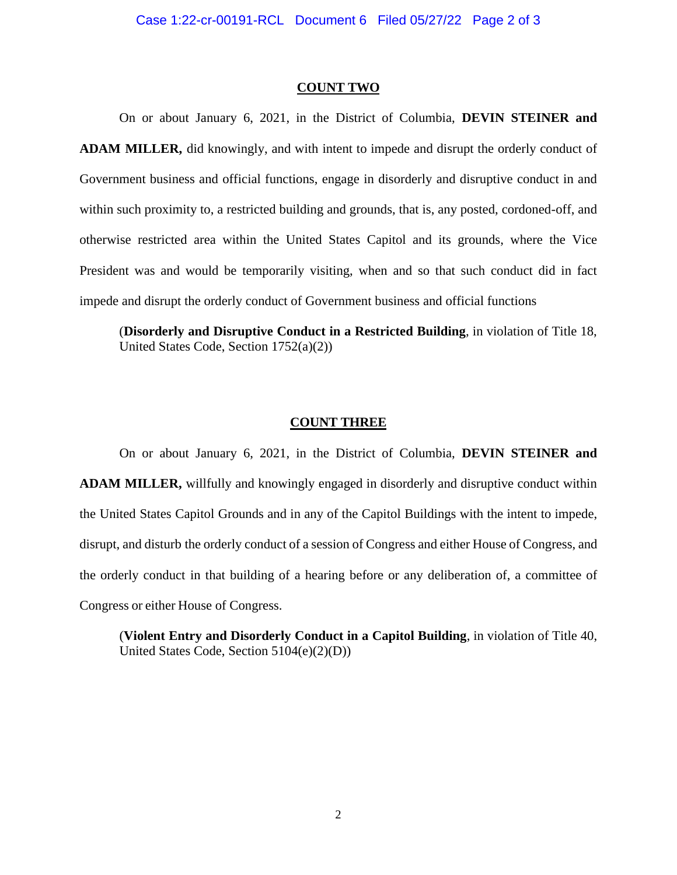#### **COUNT TWO**

On or about January 6, 2021, in the District of Columbia, **DEVIN STEINER and ADAM MILLER,** did knowingly, and with intent to impede and disrupt the orderly conduct of Government business and official functions, engage in disorderly and disruptive conduct in and within such proximity to, a restricted building and grounds, that is, any posted, cordoned-off, and otherwise restricted area within the United States Capitol and its grounds, where the Vice President was and would be temporarily visiting, when and so that such conduct did in fact impede and disrupt the orderly conduct of Government business and official functions

(**Disorderly and Disruptive Conduct in a Restricted Building**, in violation of Title 18, United States Code, Section 1752(a)(2))

#### **COUNT THREE**

On or about January 6, 2021, in the District of Columbia, **DEVIN STEINER and ADAM MILLER,** willfully and knowingly engaged in disorderly and disruptive conduct within the United States Capitol Grounds and in any of the Capitol Buildings with the intent to impede, disrupt, and disturb the orderly conduct of a session of Congress and either House of Congress, and the orderly conduct in that building of a hearing before or any deliberation of, a committee of Congress or either House of Congress.

(**Violent Entry and Disorderly Conduct in a Capitol Building**, in violation of Title 40, United States Code, Section 5104(e)(2)(D))